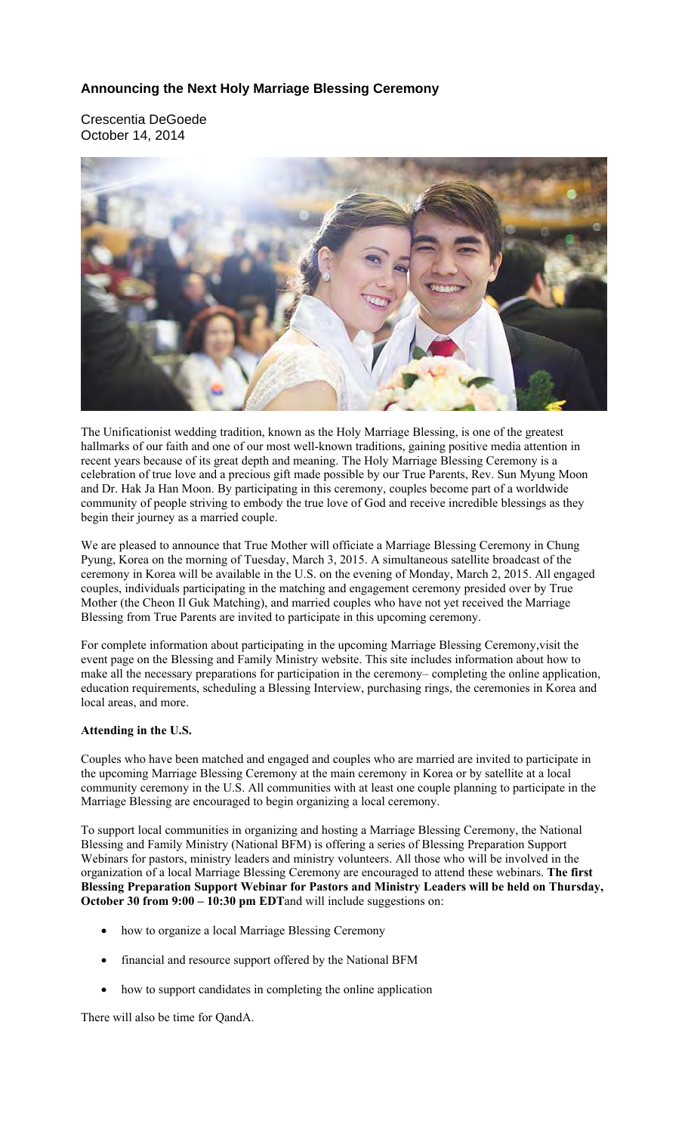#### **Announcing the Next Holy Marriage Blessing Ceremony**

Crescentia DeGoede October 14, 2014



The Unificationist wedding tradition, known as the Holy Marriage Blessing, is one of the greatest hallmarks of our faith and one of our most well-known traditions, gaining positive media attention in recent years because of its great depth and meaning. The Holy Marriage Blessing Ceremony is a celebration of true love and a precious gift made possible by our True Parents, Rev. Sun Myung Moon and Dr. Hak Ja Han Moon. By participating in this ceremony, couples become part of a worldwide community of people striving to embody the true love of God and receive incredible blessings as they begin their journey as a married couple.

We are pleased to announce that True Mother will officiate a Marriage Blessing Ceremony in Chung Pyung, Korea on the morning of Tuesday, March 3, 2015. A simultaneous satellite broadcast of the ceremony in Korea will be available in the U.S. on the evening of Monday, March 2, 2015. All engaged couples, individuals participating in the matching and engagement ceremony presided over by True Mother (the Cheon Il Guk Matching), and married couples who have not yet received the Marriage Blessing from True Parents are invited to participate in this upcoming ceremony.

For complete information about participating in the upcoming Marriage Blessing Ceremony,visit the event page on the Blessing and Family Ministry website. This site includes information about how to make all the necessary preparations for participation in the ceremony– completing the online application, education requirements, scheduling a Blessing Interview, purchasing rings, the ceremonies in Korea and local areas, and more.

#### **Attending in the U.S.**

Couples who have been matched and engaged and couples who are married are invited to participate in the upcoming Marriage Blessing Ceremony at the main ceremony in Korea or by satellite at a local community ceremony in the U.S. All communities with at least one couple planning to participate in the Marriage Blessing are encouraged to begin organizing a local ceremony.

To support local communities in organizing and hosting a Marriage Blessing Ceremony, the National Blessing and Family Ministry (National BFM) is offering a series of Blessing Preparation Support Webinars for pastors, ministry leaders and ministry volunteers. All those who will be involved in the organization of a local Marriage Blessing Ceremony are encouraged to attend these webinars. **The first Blessing Preparation Support Webinar for Pastors and Ministry Leaders will be held on Thursday, October 30 from 9:00 – 10:30 pm EDT**and will include suggestions on:

- how to organize a local Marriage Blessing Ceremony
- financial and resource support offered by the National BFM
- how to support candidates in completing the online application

There will also be time for QandA.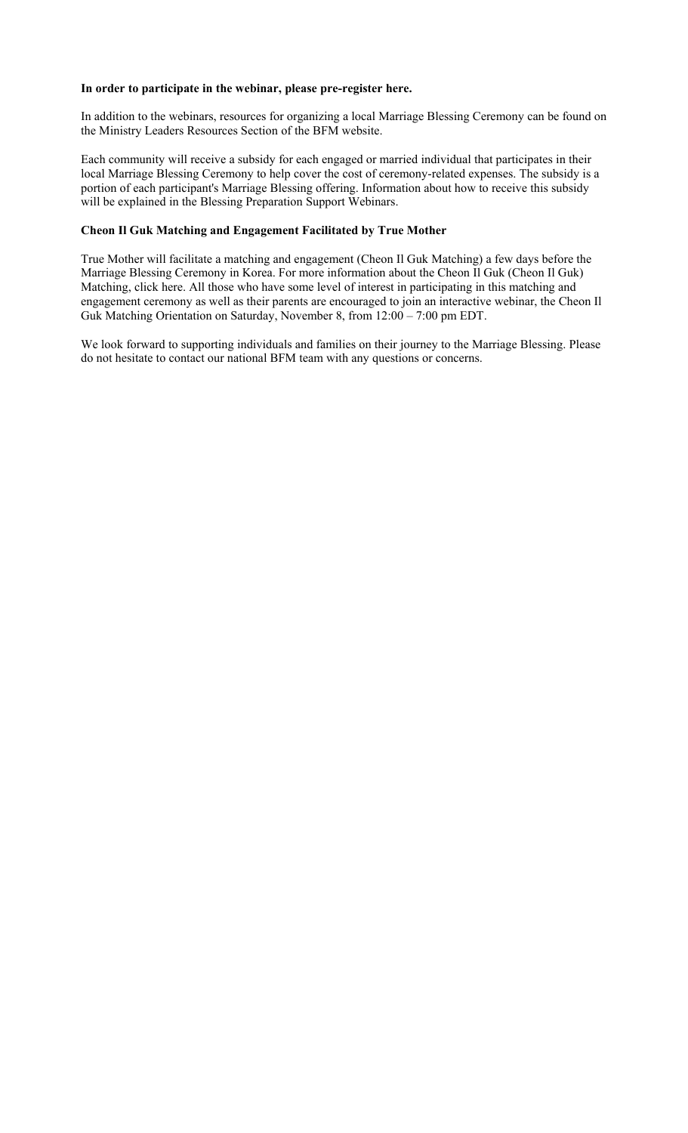#### **In order to participate in the webinar, please pre-register here.**

In addition to the webinars, resources for organizing a local Marriage Blessing Ceremony can be found on the Ministry Leaders Resources Section of the BFM website.

Each community will receive a subsidy for each engaged or married individual that participates in their local Marriage Blessing Ceremony to help cover the cost of ceremony-related expenses. The subsidy is a portion of each participant's Marriage Blessing offering. Information about how to receive this subsidy will be explained in the Blessing Preparation Support Webinars.

#### **Cheon Il Guk Matching and Engagement Facilitated by True Mother**

True Mother will facilitate a matching and engagement (Cheon Il Guk Matching) a few days before the Marriage Blessing Ceremony in Korea. For more information about the Cheon Il Guk (Cheon Il Guk) Matching, click here. All those who have some level of interest in participating in this matching and engagement ceremony as well as their parents are encouraged to join an interactive webinar, the Cheon Il Guk Matching Orientation on Saturday, November 8, from 12:00 – 7:00 pm EDT.

We look forward to supporting individuals and families on their journey to the Marriage Blessing. Please do not hesitate to contact our national BFM team with any questions or concerns.